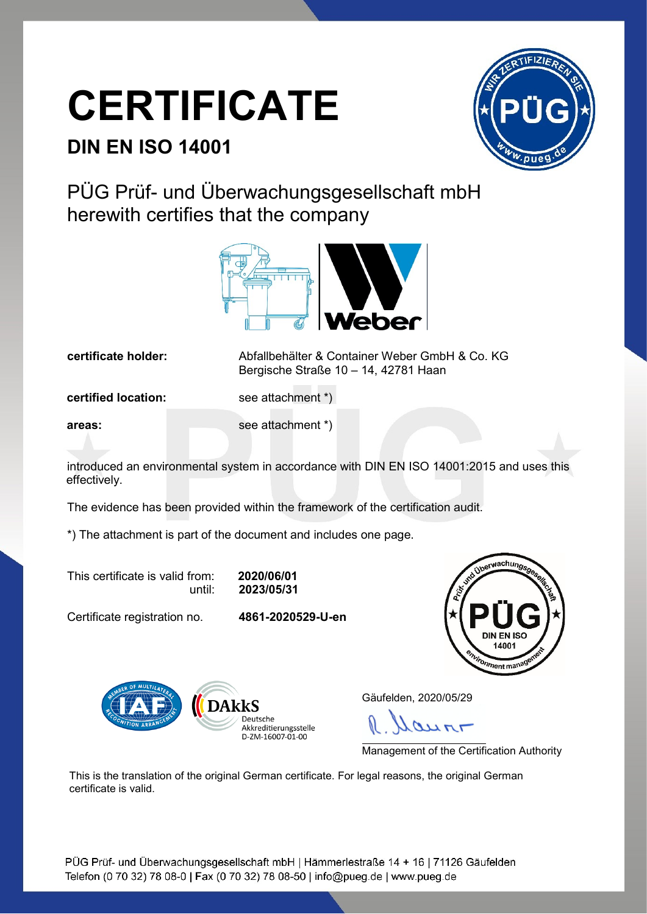## **CERTIFICATE**

## **DIN EN ISO 14001**



PÜG Prüf- und Überwachungsgesellschaft mbH herewith certifies that the company



**certificate holder:** Abfallbehälter & Container Weber GmbH & Co. KG Bergische Straße 10 – 14, 42781 Haan

**certified location:** see attachment \*)

**areas:** see attachment \*)

introduced an environmental system in accordance with DIN EN ISO 14001:2015 and uses this effectively.

The evidence has been provided within the framework of the certification audit.

\*) The attachment is part of the document and includes one page.

This certificate is valid from: **2020/06/01**

until: **2023/05/31**

Certificate registration no. **4861-2020529-U-en**





Gäufelden, 2020/05/29

 $247$ 

Management of the Certification Authority

This is the translation of the original German certificate. For legal reasons, the original German certificate is valid.

PÜG Prüf- und Überwachungsgesellschaft mbH | Hämmerlestraße 14 + 16 | 71126 Gäufelden Telefon (0 70 32) 78 08-0 | Fax (0 70 32) 78 08-50 | info@pueg.de | www.pueg.de